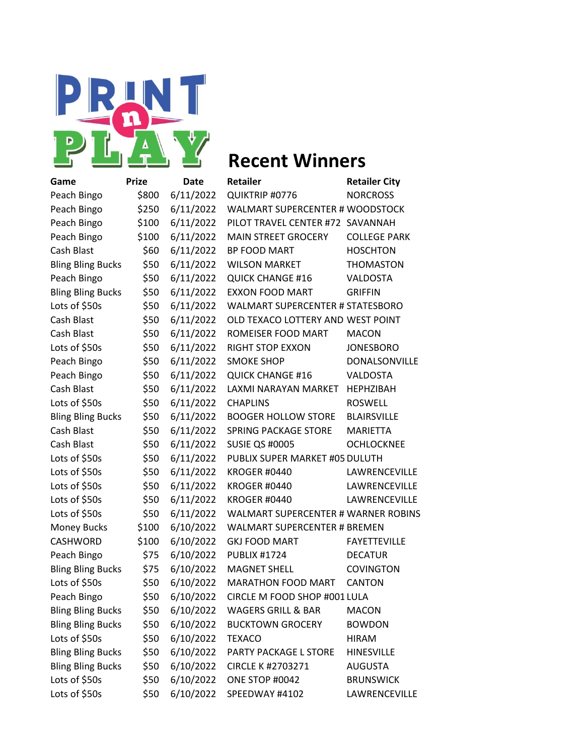

| Game                     | <b>Prize</b> | Date      | <b>Retailer</b>                            | <b>Retailer City</b> |
|--------------------------|--------------|-----------|--------------------------------------------|----------------------|
| Peach Bingo              | \$800        | 6/11/2022 | QUIKTRIP #0776                             | <b>NORCROSS</b>      |
| Peach Bingo              | \$250        | 6/11/2022 | <b>WALMART SUPERCENTER # WOODSTOCK</b>     |                      |
| Peach Bingo              | \$100        | 6/11/2022 | PILOT TRAVEL CENTER #72 SAVANNAH           |                      |
| Peach Bingo              | \$100        | 6/11/2022 | <b>MAIN STREET GROCERY</b>                 | <b>COLLEGE PARK</b>  |
| Cash Blast               | \$60         | 6/11/2022 | BP FOOD MART                               | <b>HOSCHTON</b>      |
| <b>Bling Bling Bucks</b> | \$50         | 6/11/2022 | <b>WILSON MARKET</b>                       | <b>THOMASTON</b>     |
| Peach Bingo              | \$50         | 6/11/2022 | <b>QUICK CHANGE #16</b>                    | <b>VALDOSTA</b>      |
| <b>Bling Bling Bucks</b> | \$50         | 6/11/2022 | <b>EXXON FOOD MART</b>                     | <b>GRIFFIN</b>       |
| Lots of \$50s            | \$50         | 6/11/2022 | <b>WALMART SUPERCENTER # STATESBORO</b>    |                      |
| Cash Blast               | \$50         | 6/11/2022 | OLD TEXACO LOTTERY AND WEST POINT          |                      |
| Cash Blast               | \$50         | 6/11/2022 | ROMEISER FOOD MART                         | <b>MACON</b>         |
| Lots of \$50s            | \$50         | 6/11/2022 | RIGHT STOP EXXON                           | <b>JONESBORO</b>     |
| Peach Bingo              | \$50         | 6/11/2022 | <b>SMOKE SHOP</b>                          | DONALSONVILLE        |
| Peach Bingo              | \$50         | 6/11/2022 | <b>QUICK CHANGE #16</b>                    | VALDOSTA             |
| Cash Blast               | \$50         | 6/11/2022 | LAXMI NARAYAN MARKET                       | <b>HEPHZIBAH</b>     |
| Lots of \$50s            | \$50         | 6/11/2022 | <b>CHAPLINS</b>                            | <b>ROSWELL</b>       |
| <b>Bling Bling Bucks</b> | \$50         | 6/11/2022 | <b>BOOGER HOLLOW STORE</b>                 | <b>BLAIRSVILLE</b>   |
| Cash Blast               | \$50         | 6/11/2022 | <b>SPRING PACKAGE STORE</b>                | <b>MARIETTA</b>      |
| Cash Blast               | \$50         | 6/11/2022 | <b>SUSIE QS #0005</b>                      | <b>OCHLOCKNEE</b>    |
| Lots of \$50s            | \$50         | 6/11/2022 | PUBLIX SUPER MARKET #05 DULUTH             |                      |
| Lots of \$50s            | \$50         | 6/11/2022 | <b>KROGER #0440</b>                        | LAWRENCEVILLE        |
| Lots of \$50s            | \$50         | 6/11/2022 | KROGER #0440                               | LAWRENCEVILLE        |
| Lots of \$50s            | \$50         | 6/11/2022 | <b>KROGER #0440</b>                        | LAWRENCEVILLE        |
| Lots of \$50s            | \$50         | 6/11/2022 | <b>WALMART SUPERCENTER # WARNER ROBINS</b> |                      |
| <b>Money Bucks</b>       | \$100        | 6/10/2022 | <b>WALMART SUPERCENTER # BREMEN</b>        |                      |
| CASHWORD                 | \$100        | 6/10/2022 | <b>GKJ FOOD MART</b>                       | <b>FAYETTEVILLE</b>  |
| Peach Bingo              | \$75         | 6/10/2022 | <b>PUBLIX #1724</b>                        | <b>DECATUR</b>       |
| <b>Bling Bling Bucks</b> | \$75         | 6/10/2022 | <b>MAGNET SHELL</b>                        | COVINGTON            |
| Lots of \$50s            | \$50         | 6/10/2022 | MARATHON FOOD MART                         | <b>CANTON</b>        |
| Peach Bingo              | \$50         | 6/10/2022 | CIRCLE M FOOD SHOP #001 LULA               |                      |
| <b>Bling Bling Bucks</b> | \$50         | 6/10/2022 | <b>WAGERS GRILL &amp; BAR</b>              | <b>MACON</b>         |
| <b>Bling Bling Bucks</b> | \$50         | 6/10/2022 | <b>BUCKTOWN GROCERY</b>                    | <b>BOWDON</b>        |
| Lots of \$50s            | \$50         | 6/10/2022 | <b>TEXACO</b>                              | <b>HIRAM</b>         |
| <b>Bling Bling Bucks</b> | \$50         | 6/10/2022 | PARTY PACKAGE L STORE                      | <b>HINESVILLE</b>    |
| <b>Bling Bling Bucks</b> | \$50         | 6/10/2022 | CIRCLE K #2703271                          | <b>AUGUSTA</b>       |
| Lots of \$50s            | \$50         | 6/10/2022 | ONE STOP #0042                             | <b>BRUNSWICK</b>     |
| Lots of \$50s            | \$50         | 6/10/2022 | SPEEDWAY #4102                             | LAWRENCEVILLE        |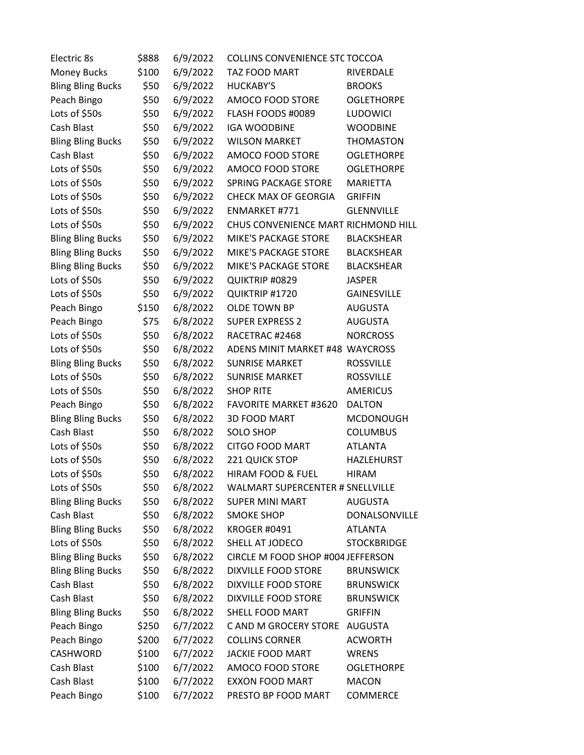| Electric 8s              | \$888 | 6/9/2022 | COLLINS CONVENIENCE STC TOCCOA          |                    |
|--------------------------|-------|----------|-----------------------------------------|--------------------|
| <b>Money Bucks</b>       | \$100 | 6/9/2022 | TAZ FOOD MART                           | RIVERDALE          |
| <b>Bling Bling Bucks</b> | \$50  | 6/9/2022 | <b>HUCKABY'S</b>                        | <b>BROOKS</b>      |
| Peach Bingo              | \$50  | 6/9/2022 | AMOCO FOOD STORE                        | <b>OGLETHORPE</b>  |
| Lots of \$50s            | \$50  | 6/9/2022 | FLASH FOODS #0089                       | LUDOWICI           |
| Cash Blast               | \$50  | 6/9/2022 | <b>IGA WOODBINE</b>                     | <b>WOODBINE</b>    |
| <b>Bling Bling Bucks</b> | \$50  | 6/9/2022 | <b>WILSON MARKET</b>                    | <b>THOMASTON</b>   |
| Cash Blast               | \$50  | 6/9/2022 | AMOCO FOOD STORE                        | <b>OGLETHORPE</b>  |
| Lots of \$50s            | \$50  | 6/9/2022 | AMOCO FOOD STORE                        | <b>OGLETHORPE</b>  |
| Lots of \$50s            | \$50  | 6/9/2022 | <b>SPRING PACKAGE STORE</b>             | <b>MARIETTA</b>    |
| Lots of \$50s            | \$50  | 6/9/2022 | <b>CHECK MAX OF GEORGIA</b>             | <b>GRIFFIN</b>     |
| Lots of \$50s            | \$50  | 6/9/2022 | ENMARKET #771                           | <b>GLENNVILLE</b>  |
| Lots of \$50s            | \$50  | 6/9/2022 | CHUS CONVENIENCE MART RICHMOND HILL     |                    |
| <b>Bling Bling Bucks</b> | \$50  | 6/9/2022 | <b>MIKE'S PACKAGE STORE</b>             | <b>BLACKSHEAR</b>  |
| <b>Bling Bling Bucks</b> | \$50  | 6/9/2022 | <b>MIKE'S PACKAGE STORE</b>             | <b>BLACKSHEAR</b>  |
| <b>Bling Bling Bucks</b> | \$50  | 6/9/2022 | <b>MIKE'S PACKAGE STORE</b>             | <b>BLACKSHEAR</b>  |
| Lots of \$50s            | \$50  | 6/9/2022 | QUIKTRIP #0829                          | <b>JASPER</b>      |
| Lots of \$50s            | \$50  | 6/9/2022 | QUIKTRIP #1720                          | GAINESVILLE        |
| Peach Bingo              | \$150 | 6/8/2022 | <b>OLDE TOWN BP</b>                     | <b>AUGUSTA</b>     |
| Peach Bingo              | \$75  | 6/8/2022 | <b>SUPER EXPRESS 2</b>                  | <b>AUGUSTA</b>     |
| Lots of \$50s            | \$50  | 6/8/2022 | RACETRAC #2468                          | <b>NORCROSS</b>    |
| Lots of \$50s            | \$50  | 6/8/2022 | ADENS MINIT MARKET #48 WAYCROSS         |                    |
| <b>Bling Bling Bucks</b> | \$50  | 6/8/2022 | <b>SUNRISE MARKET</b>                   | <b>ROSSVILLE</b>   |
| Lots of \$50s            | \$50  | 6/8/2022 | <b>SUNRISE MARKET</b>                   | <b>ROSSVILLE</b>   |
| Lots of \$50s            | \$50  | 6/8/2022 | <b>SHOP RITE</b>                        | <b>AMERICUS</b>    |
| Peach Bingo              | \$50  | 6/8/2022 | <b>FAVORITE MARKET #3620</b>            | <b>DALTON</b>      |
| <b>Bling Bling Bucks</b> | \$50  | 6/8/2022 | 3D FOOD MART                            | <b>MCDONOUGH</b>   |
| Cash Blast               | \$50  | 6/8/2022 | <b>SOLO SHOP</b>                        | <b>COLUMBUS</b>    |
| Lots of \$50s            | \$50  | 6/8/2022 | <b>CITGO FOOD MART</b>                  | <b>ATLANTA</b>     |
| Lots of \$50s            | \$50  | 6/8/2022 | 221 QUICK STOP                          | <b>HAZLEHURST</b>  |
| Lots of \$50s            | \$50  | 6/8/2022 | HIRAM FOOD & FUEL                       | <b>HIRAM</b>       |
| Lots of \$50s            | \$50  | 6/8/2022 | <b>WALMART SUPERCENTER # SNELLVILLE</b> |                    |
| <b>Bling Bling Bucks</b> | \$50  | 6/8/2022 | <b>SUPER MINI MART</b>                  | <b>AUGUSTA</b>     |
| Cash Blast               | \$50  | 6/8/2022 | <b>SMOKE SHOP</b>                       | DONALSONVILLE      |
| <b>Bling Bling Bucks</b> | \$50  | 6/8/2022 | <b>KROGER #0491</b>                     | <b>ATLANTA</b>     |
| Lots of \$50s            | \$50  | 6/8/2022 | SHELL AT JODECO                         | <b>STOCKBRIDGE</b> |
| <b>Bling Bling Bucks</b> | \$50  | 6/8/2022 | CIRCLE M FOOD SHOP #004 JEFFERSON       |                    |
| <b>Bling Bling Bucks</b> | \$50  | 6/8/2022 | <b>DIXVILLE FOOD STORE</b>              | <b>BRUNSWICK</b>   |
| Cash Blast               | \$50  | 6/8/2022 | <b>DIXVILLE FOOD STORE</b>              | <b>BRUNSWICK</b>   |
| Cash Blast               | \$50  | 6/8/2022 | DIXVILLE FOOD STORE                     | <b>BRUNSWICK</b>   |
| <b>Bling Bling Bucks</b> | \$50  | 6/8/2022 | SHELL FOOD MART                         | <b>GRIFFIN</b>     |
| Peach Bingo              | \$250 | 6/7/2022 | C AND M GROCERY STORE                   | <b>AUGUSTA</b>     |
| Peach Bingo              | \$200 | 6/7/2022 | <b>COLLINS CORNER</b>                   | <b>ACWORTH</b>     |
| CASHWORD                 | \$100 | 6/7/2022 | JACKIE FOOD MART                        | <b>WRENS</b>       |
| Cash Blast               | \$100 | 6/7/2022 | AMOCO FOOD STORE                        | <b>OGLETHORPE</b>  |
| Cash Blast               | \$100 | 6/7/2022 | <b>EXXON FOOD MART</b>                  | <b>MACON</b>       |
| Peach Bingo              | \$100 | 6/7/2022 | PRESTO BP FOOD MART                     | COMMERCE           |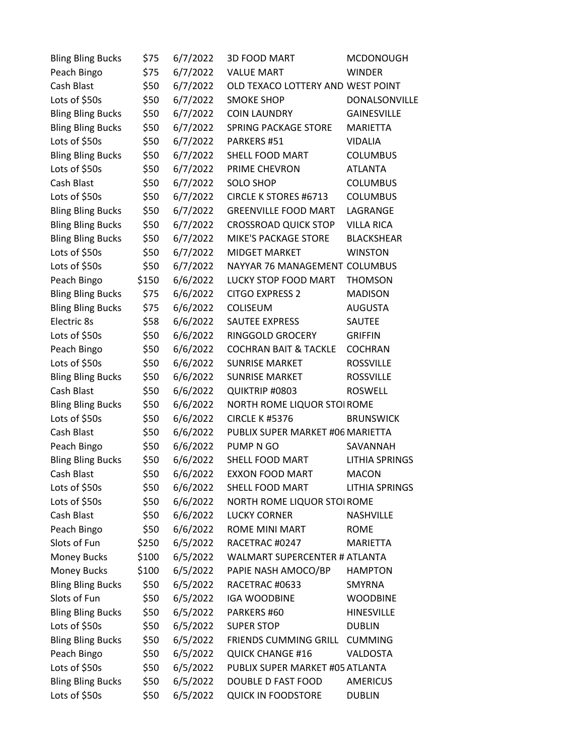| <b>Bling Bling Bucks</b> | \$75  | 6/7/2022 | <b>3D FOOD MART</b>               | <b>MCDONOUGH</b>      |
|--------------------------|-------|----------|-----------------------------------|-----------------------|
| Peach Bingo              | \$75  | 6/7/2022 | <b>VALUE MART</b>                 | <b>WINDER</b>         |
| Cash Blast               | \$50  | 6/7/2022 | OLD TEXACO LOTTERY AND WEST POINT |                       |
| Lots of \$50s            | \$50  | 6/7/2022 | <b>SMOKE SHOP</b>                 | DONALSONVILLE         |
| <b>Bling Bling Bucks</b> | \$50  | 6/7/2022 | <b>COIN LAUNDRY</b>               | <b>GAINESVILLE</b>    |
| <b>Bling Bling Bucks</b> | \$50  | 6/7/2022 | <b>SPRING PACKAGE STORE</b>       | <b>MARIETTA</b>       |
| Lots of \$50s            | \$50  | 6/7/2022 | PARKERS #51                       | <b>VIDALIA</b>        |
| <b>Bling Bling Bucks</b> | \$50  | 6/7/2022 | SHELL FOOD MART                   | <b>COLUMBUS</b>       |
| Lots of \$50s            | \$50  | 6/7/2022 | PRIME CHEVRON                     | <b>ATLANTA</b>        |
| Cash Blast               | \$50  | 6/7/2022 | <b>SOLO SHOP</b>                  | <b>COLUMBUS</b>       |
| Lots of \$50s            | \$50  | 6/7/2022 | <b>CIRCLE K STORES #6713</b>      | <b>COLUMBUS</b>       |
| <b>Bling Bling Bucks</b> | \$50  | 6/7/2022 | <b>GREENVILLE FOOD MART</b>       | LAGRANGE              |
| <b>Bling Bling Bucks</b> | \$50  | 6/7/2022 | <b>CROSSROAD QUICK STOP</b>       | <b>VILLA RICA</b>     |
| <b>Bling Bling Bucks</b> | \$50  | 6/7/2022 | <b>MIKE'S PACKAGE STORE</b>       | <b>BLACKSHEAR</b>     |
| Lots of \$50s            | \$50  | 6/7/2022 | <b>MIDGET MARKET</b>              | <b>WINSTON</b>        |
| Lots of \$50s            | \$50  | 6/7/2022 | NAYYAR 76 MANAGEMENT COLUMBUS     |                       |
| Peach Bingo              | \$150 | 6/6/2022 | LUCKY STOP FOOD MART              | <b>THOMSON</b>        |
| <b>Bling Bling Bucks</b> | \$75  | 6/6/2022 | <b>CITGO EXPRESS 2</b>            | <b>MADISON</b>        |
| <b>Bling Bling Bucks</b> | \$75  | 6/6/2022 | COLISEUM                          | <b>AUGUSTA</b>        |
| Electric 8s              | \$58  | 6/6/2022 | <b>SAUTEE EXPRESS</b>             | SAUTEE                |
| Lots of \$50s            | \$50  | 6/6/2022 | RINGGOLD GROCERY                  | <b>GRIFFIN</b>        |
| Peach Bingo              | \$50  | 6/6/2022 | <b>COCHRAN BAIT &amp; TACKLE</b>  | <b>COCHRAN</b>        |
| Lots of \$50s            | \$50  | 6/6/2022 | <b>SUNRISE MARKET</b>             | <b>ROSSVILLE</b>      |
| <b>Bling Bling Bucks</b> | \$50  | 6/6/2022 | <b>SUNRISE MARKET</b>             | <b>ROSSVILLE</b>      |
| Cash Blast               | \$50  | 6/6/2022 | QUIKTRIP #0803                    | <b>ROSWELL</b>        |
| <b>Bling Bling Bucks</b> | \$50  | 6/6/2022 | NORTH ROME LIQUOR STOI ROME       |                       |
| Lots of \$50s            | \$50  | 6/6/2022 | <b>CIRCLE K #5376</b>             | <b>BRUNSWICK</b>      |
| Cash Blast               | \$50  | 6/6/2022 | PUBLIX SUPER MARKET #06 MARIETTA  |                       |
| Peach Bingo              | \$50  | 6/6/2022 | PUMP N GO                         | SAVANNAH              |
| <b>Bling Bling Bucks</b> | \$50  | 6/6/2022 | SHELL FOOD MART                   | <b>LITHIA SPRINGS</b> |
| Cash Blast               | \$50  | 6/6/2022 | <b>EXXON FOOD MART</b>            | <b>MACON</b>          |
| Lots of \$50s            | \$50  | 6/6/2022 | SHELL FOOD MART                   | <b>LITHIA SPRINGS</b> |
| Lots of \$50s            | \$50  | 6/6/2022 | NORTH ROME LIQUOR STOI ROME       |                       |
| Cash Blast               | \$50  | 6/6/2022 | <b>LUCKY CORNER</b>               | <b>NASHVILLE</b>      |
| Peach Bingo              | \$50  | 6/6/2022 | <b>ROME MINI MART</b>             | <b>ROME</b>           |
| Slots of Fun             | \$250 | 6/5/2022 | RACETRAC #0247                    | <b>MARIETTA</b>       |
| <b>Money Bucks</b>       | \$100 | 6/5/2022 | WALMART SUPERCENTER # ATLANTA     |                       |
| <b>Money Bucks</b>       | \$100 | 6/5/2022 | PAPIE NASH AMOCO/BP               | <b>HAMPTON</b>        |
| <b>Bling Bling Bucks</b> | \$50  | 6/5/2022 | RACETRAC #0633                    | <b>SMYRNA</b>         |
| Slots of Fun             | \$50  | 6/5/2022 | <b>IGA WOODBINE</b>               | <b>WOODBINE</b>       |
| <b>Bling Bling Bucks</b> | \$50  | 6/5/2022 | PARKERS #60                       | <b>HINESVILLE</b>     |
| Lots of \$50s            | \$50  | 6/5/2022 | <b>SUPER STOP</b>                 | <b>DUBLIN</b>         |
| <b>Bling Bling Bucks</b> | \$50  | 6/5/2022 | FRIENDS CUMMING GRILL             | <b>CUMMING</b>        |
| Peach Bingo              | \$50  | 6/5/2022 | <b>QUICK CHANGE #16</b>           | VALDOSTA              |
| Lots of \$50s            | \$50  | 6/5/2022 | PUBLIX SUPER MARKET #05 ATLANTA   |                       |
| <b>Bling Bling Bucks</b> | \$50  | 6/5/2022 | DOUBLE D FAST FOOD                | <b>AMERICUS</b>       |
| Lots of \$50s            | \$50  | 6/5/2022 | <b>QUICK IN FOODSTORE</b>         | <b>DUBLIN</b>         |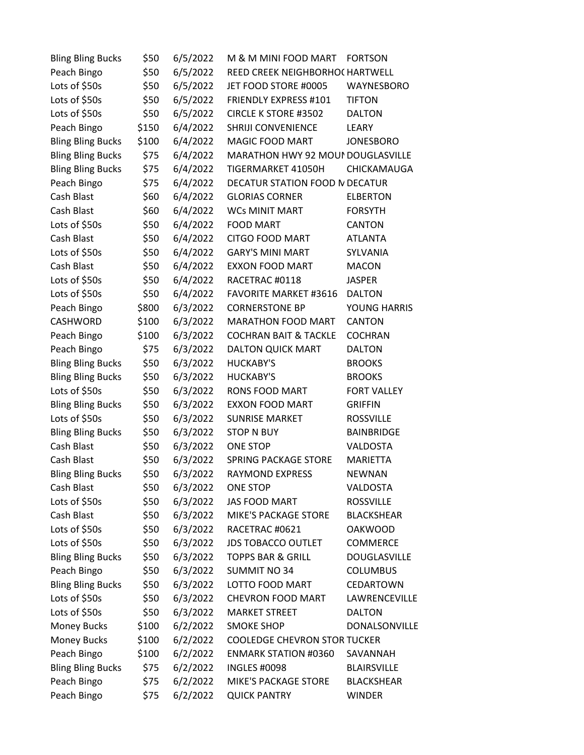| <b>Bling Bling Bucks</b> | \$50  | 6/5/2022 | M & M MINI FOOD MART                | <b>FORTSON</b>      |
|--------------------------|-------|----------|-------------------------------------|---------------------|
| Peach Bingo              | \$50  | 6/5/2022 | REED CREEK NEIGHBORHOC HARTWELL     |                     |
| Lots of \$50s            | \$50  | 6/5/2022 | JET FOOD STORE #0005                | WAYNESBORO          |
| Lots of \$50s            | \$50  | 6/5/2022 | FRIENDLY EXPRESS #101               | <b>TIFTON</b>       |
| Lots of \$50s            | \$50  | 6/5/2022 | <b>CIRCLE K STORE #3502</b>         | <b>DALTON</b>       |
| Peach Bingo              | \$150 | 6/4/2022 | SHRIJI CONVENIENCE                  | LEARY               |
| <b>Bling Bling Bucks</b> | \$100 | 6/4/2022 | MAGIC FOOD MART                     | <b>JONESBORO</b>    |
| <b>Bling Bling Bucks</b> | \$75  | 6/4/2022 | MARATHON HWY 92 MOUI DOUGLASVILLE   |                     |
| <b>Bling Bling Bucks</b> | \$75  | 6/4/2022 | TIGERMARKET 41050H                  | CHICKAMAUGA         |
| Peach Bingo              | \$75  | 6/4/2022 | DECATUR STATION FOOD IN DECATUR     |                     |
| Cash Blast               | \$60  | 6/4/2022 | <b>GLORIAS CORNER</b>               | <b>ELBERTON</b>     |
| Cash Blast               | \$60  | 6/4/2022 | <b>WCs MINIT MART</b>               | <b>FORSYTH</b>      |
| Lots of \$50s            | \$50  | 6/4/2022 | <b>FOOD MART</b>                    | CANTON              |
| Cash Blast               | \$50  | 6/4/2022 | CITGO FOOD MART                     | <b>ATLANTA</b>      |
| Lots of \$50s            | \$50  | 6/4/2022 | <b>GARY'S MINI MART</b>             | SYLVANIA            |
| Cash Blast               | \$50  | 6/4/2022 | <b>EXXON FOOD MART</b>              | <b>MACON</b>        |
| Lots of \$50s            | \$50  | 6/4/2022 | RACETRAC #0118                      | <b>JASPER</b>       |
| Lots of \$50s            | \$50  | 6/4/2022 | <b>FAVORITE MARKET #3616</b>        | <b>DALTON</b>       |
| Peach Bingo              | \$800 | 6/3/2022 | <b>CORNERSTONE BP</b>               | YOUNG HARRIS        |
| CASHWORD                 | \$100 | 6/3/2022 | <b>MARATHON FOOD MART</b>           | <b>CANTON</b>       |
| Peach Bingo              | \$100 | 6/3/2022 | <b>COCHRAN BAIT &amp; TACKLE</b>    | <b>COCHRAN</b>      |
| Peach Bingo              | \$75  | 6/3/2022 | DALTON QUICK MART                   | <b>DALTON</b>       |
| <b>Bling Bling Bucks</b> | \$50  | 6/3/2022 | <b>HUCKABY'S</b>                    | <b>BROOKS</b>       |
| <b>Bling Bling Bucks</b> | \$50  | 6/3/2022 | <b>HUCKABY'S</b>                    | <b>BROOKS</b>       |
| Lots of \$50s            | \$50  | 6/3/2022 | RONS FOOD MART                      | <b>FORT VALLEY</b>  |
| <b>Bling Bling Bucks</b> | \$50  | 6/3/2022 | <b>EXXON FOOD MART</b>              | <b>GRIFFIN</b>      |
| Lots of \$50s            | \$50  | 6/3/2022 | <b>SUNRISE MARKET</b>               | <b>ROSSVILLE</b>    |
| <b>Bling Bling Bucks</b> | \$50  | 6/3/2022 | <b>STOP N BUY</b>                   | BAINBRIDGE          |
| Cash Blast               | \$50  | 6/3/2022 | <b>ONE STOP</b>                     | VALDOSTA            |
| Cash Blast               | \$50  | 6/3/2022 | <b>SPRING PACKAGE STORE</b>         | <b>MARIETTA</b>     |
| <b>Bling Bling Bucks</b> | \$50  | 6/3/2022 | <b>RAYMOND EXPRESS</b>              | <b>NEWNAN</b>       |
| Cash Blast               | \$50  | 6/3/2022 | <b>ONE STOP</b>                     | VALDOSTA            |
| Lots of \$50s            | \$50  | 6/3/2022 | <b>JAS FOOD MART</b>                | <b>ROSSVILLE</b>    |
| Cash Blast               | \$50  | 6/3/2022 | MIKE'S PACKAGE STORE                | <b>BLACKSHEAR</b>   |
| Lots of \$50s            | \$50  | 6/3/2022 | RACETRAC #0621                      | <b>OAKWOOD</b>      |
| Lots of \$50s            | \$50  | 6/3/2022 | <b>JDS TOBACCO OUTLET</b>           | COMMERCE            |
| <b>Bling Bling Bucks</b> | \$50  | 6/3/2022 | <b>TOPPS BAR &amp; GRILL</b>        | <b>DOUGLASVILLE</b> |
| Peach Bingo              | \$50  | 6/3/2022 | <b>SUMMIT NO 34</b>                 | <b>COLUMBUS</b>     |
| <b>Bling Bling Bucks</b> | \$50  | 6/3/2022 | LOTTO FOOD MART                     | CEDARTOWN           |
| Lots of \$50s            | \$50  | 6/3/2022 | <b>CHEVRON FOOD MART</b>            | LAWRENCEVILLE       |
| Lots of \$50s            | \$50  | 6/3/2022 | <b>MARKET STREET</b>                | <b>DALTON</b>       |
| <b>Money Bucks</b>       | \$100 | 6/2/2022 | <b>SMOKE SHOP</b>                   | DONALSONVILLE       |
| <b>Money Bucks</b>       | \$100 | 6/2/2022 | <b>COOLEDGE CHEVRON STOR TUCKER</b> |                     |
| Peach Bingo              | \$100 | 6/2/2022 | <b>ENMARK STATION #0360</b>         | SAVANNAH            |
| <b>Bling Bling Bucks</b> | \$75  | 6/2/2022 | <b>INGLES #0098</b>                 | <b>BLAIRSVILLE</b>  |
| Peach Bingo              | \$75  | 6/2/2022 | <b>MIKE'S PACKAGE STORE</b>         | <b>BLACKSHEAR</b>   |
| Peach Bingo              | \$75  | 6/2/2022 | <b>QUICK PANTRY</b>                 | <b>WINDER</b>       |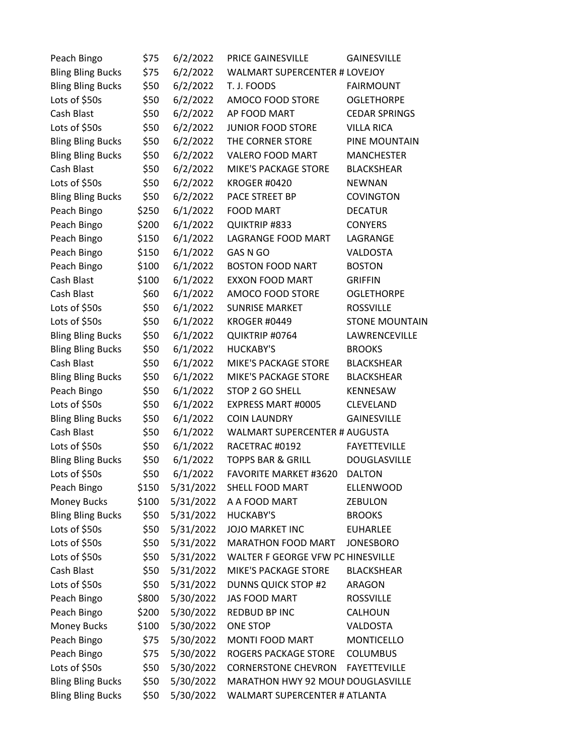| Peach Bingo              | \$75  | 6/2/2022  | <b>PRICE GAINESVILLE</b>             | <b>GAINESVILLE</b>    |
|--------------------------|-------|-----------|--------------------------------------|-----------------------|
| <b>Bling Bling Bucks</b> | \$75  | 6/2/2022  | WALMART SUPERCENTER # LOVEJOY        |                       |
| <b>Bling Bling Bucks</b> | \$50  | 6/2/2022  | T. J. FOODS                          | <b>FAIRMOUNT</b>      |
| Lots of \$50s            | \$50  | 6/2/2022  | AMOCO FOOD STORE                     | <b>OGLETHORPE</b>     |
| Cash Blast               | \$50  | 6/2/2022  | AP FOOD MART                         | <b>CEDAR SPRINGS</b>  |
| Lots of \$50s            | \$50  | 6/2/2022  | <b>JUNIOR FOOD STORE</b>             | <b>VILLA RICA</b>     |
| <b>Bling Bling Bucks</b> | \$50  | 6/2/2022  | THE CORNER STORE                     | PINE MOUNTAIN         |
| <b>Bling Bling Bucks</b> | \$50  | 6/2/2022  | VALERO FOOD MART                     | <b>MANCHESTER</b>     |
| Cash Blast               | \$50  | 6/2/2022  | MIKE'S PACKAGE STORE                 | <b>BLACKSHEAR</b>     |
| Lots of \$50s            | \$50  | 6/2/2022  | <b>KROGER #0420</b>                  | <b>NEWNAN</b>         |
| <b>Bling Bling Bucks</b> | \$50  | 6/2/2022  | PACE STREET BP                       | <b>COVINGTON</b>      |
| Peach Bingo              | \$250 | 6/1/2022  | <b>FOOD MART</b>                     | <b>DECATUR</b>        |
| Peach Bingo              | \$200 | 6/1/2022  | <b>QUIKTRIP #833</b>                 | <b>CONYERS</b>        |
| Peach Bingo              | \$150 | 6/1/2022  | LAGRANGE FOOD MART                   | LAGRANGE              |
| Peach Bingo              | \$150 | 6/1/2022  | GAS N GO                             | VALDOSTA              |
| Peach Bingo              | \$100 | 6/1/2022  | <b>BOSTON FOOD NART</b>              | <b>BOSTON</b>         |
| Cash Blast               | \$100 | 6/1/2022  | EXXON FOOD MART                      | <b>GRIFFIN</b>        |
| Cash Blast               | \$60  | 6/1/2022  | AMOCO FOOD STORE                     | <b>OGLETHORPE</b>     |
| Lots of \$50s            | \$50  | 6/1/2022  | <b>SUNRISE MARKET</b>                | <b>ROSSVILLE</b>      |
| Lots of \$50s            | \$50  | 6/1/2022  | <b>KROGER #0449</b>                  | <b>STONE MOUNTAIN</b> |
| <b>Bling Bling Bucks</b> | \$50  | 6/1/2022  | QUIKTRIP #0764                       | LAWRENCEVILLE         |
| <b>Bling Bling Bucks</b> | \$50  | 6/1/2022  | HUCKABY'S                            | <b>BROOKS</b>         |
| Cash Blast               | \$50  | 6/1/2022  | MIKE'S PACKAGE STORE                 | <b>BLACKSHEAR</b>     |
| <b>Bling Bling Bucks</b> | \$50  | 6/1/2022  | MIKE'S PACKAGE STORE                 | <b>BLACKSHEAR</b>     |
| Peach Bingo              | \$50  | 6/1/2022  | STOP 2 GO SHELL                      | KENNESAW              |
| Lots of \$50s            | \$50  | 6/1/2022  | EXPRESS MART #0005                   | CLEVELAND             |
| <b>Bling Bling Bucks</b> | \$50  | 6/1/2022  | <b>COIN LAUNDRY</b>                  | <b>GAINESVILLE</b>    |
| Cash Blast               | \$50  | 6/1/2022  | <b>WALMART SUPERCENTER # AUGUSTA</b> |                       |
| Lots of \$50s            | \$50  | 6/1/2022  | RACETRAC #0192                       | <b>FAYETTEVILLE</b>   |
| <b>Bling Bling Bucks</b> | \$50  | 6/1/2022  | <b>TOPPS BAR &amp; GRILL</b>         | DOUGLASVILLE          |
| Lots of \$50s            | \$50  | 6/1/2022  | <b>FAVORITE MARKET #3620</b>         | <b>DALTON</b>         |
| Peach Bingo              | \$150 | 5/31/2022 | SHELL FOOD MART                      | <b>ELLENWOOD</b>      |
| <b>Money Bucks</b>       | \$100 | 5/31/2022 | A A FOOD MART                        | <b>ZEBULON</b>        |
| <b>Bling Bling Bucks</b> | \$50  | 5/31/2022 | HUCKABY'S                            | <b>BROOKS</b>         |
| Lots of \$50s            | \$50  | 5/31/2022 | <b>JOJO MARKET INC</b>               | <b>EUHARLEE</b>       |
| Lots of \$50s            | \$50  | 5/31/2022 | <b>MARATHON FOOD MART</b>            | <b>JONESBORO</b>      |
| Lots of \$50s            | \$50  | 5/31/2022 | WALTER F GEORGE VFW PC HINESVILLE    |                       |
| Cash Blast               | \$50  | 5/31/2022 | <b>MIKE'S PACKAGE STORE</b>          | <b>BLACKSHEAR</b>     |
| Lots of \$50s            | \$50  | 5/31/2022 | <b>DUNNS QUICK STOP #2</b>           | ARAGON                |
| Peach Bingo              | \$800 | 5/30/2022 | <b>JAS FOOD MART</b>                 | <b>ROSSVILLE</b>      |
| Peach Bingo              | \$200 | 5/30/2022 | REDBUD BP INC                        | CALHOUN               |
| Money Bucks              | \$100 | 5/30/2022 | ONE STOP                             | <b>VALDOSTA</b>       |
| Peach Bingo              | \$75  | 5/30/2022 | <b>MONTI FOOD MART</b>               | <b>MONTICELLO</b>     |
| Peach Bingo              | \$75  | 5/30/2022 | ROGERS PACKAGE STORE                 | <b>COLUMBUS</b>       |
| Lots of \$50s            | \$50  | 5/30/2022 | <b>CORNERSTONE CHEVRON</b>           | <b>FAYETTEVILLE</b>   |
| <b>Bling Bling Bucks</b> | \$50  | 5/30/2022 | MARATHON HWY 92 MOUI DOUGLASVILLE    |                       |
| <b>Bling Bling Bucks</b> | \$50  | 5/30/2022 | WALMART SUPERCENTER # ATLANTA        |                       |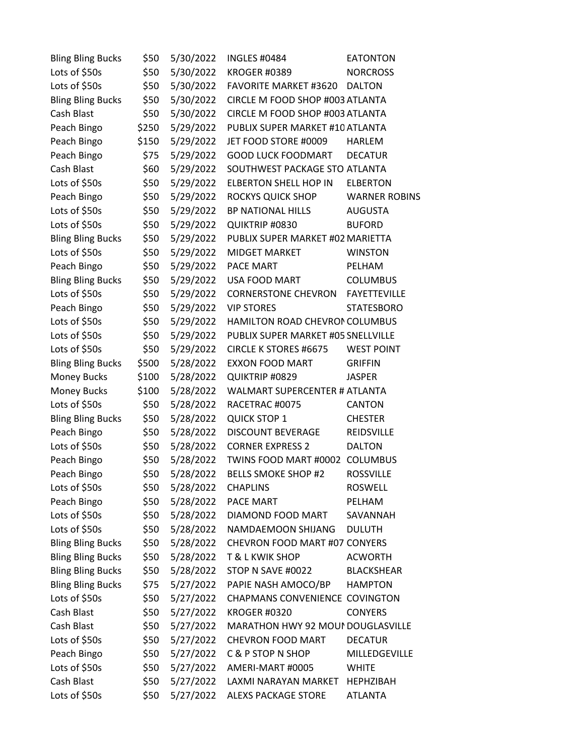| <b>Bling Bling Bucks</b> | \$50  | 5/30/2022 | <b>INGLES #0484</b>                  | <b>EATONTON</b>      |
|--------------------------|-------|-----------|--------------------------------------|----------------------|
| Lots of \$50s            | \$50  | 5/30/2022 | <b>KROGER #0389</b>                  | <b>NORCROSS</b>      |
| Lots of \$50s            | \$50  | 5/30/2022 | <b>FAVORITE MARKET #3620</b>         | <b>DALTON</b>        |
| <b>Bling Bling Bucks</b> | \$50  | 5/30/2022 | CIRCLE M FOOD SHOP #003 ATLANTA      |                      |
| Cash Blast               | \$50  | 5/30/2022 | CIRCLE M FOOD SHOP #003 ATLANTA      |                      |
| Peach Bingo              | \$250 | 5/29/2022 | PUBLIX SUPER MARKET #10 ATLANTA      |                      |
| Peach Bingo              | \$150 | 5/29/2022 | JET FOOD STORE #0009                 | <b>HARLEM</b>        |
| Peach Bingo              | \$75  | 5/29/2022 | <b>GOOD LUCK FOODMART</b>            | <b>DECATUR</b>       |
| Cash Blast               | \$60  | 5/29/2022 | SOUTHWEST PACKAGE STO ATLANTA        |                      |
| Lots of \$50s            | \$50  | 5/29/2022 | ELBERTON SHELL HOP IN                | <b>ELBERTON</b>      |
| Peach Bingo              | \$50  | 5/29/2022 | ROCKYS QUICK SHOP                    | <b>WARNER ROBINS</b> |
| Lots of \$50s            | \$50  | 5/29/2022 | BP NATIONAL HILLS                    | <b>AUGUSTA</b>       |
| Lots of \$50s            | \$50  | 5/29/2022 | QUIKTRIP #0830                       | <b>BUFORD</b>        |
| <b>Bling Bling Bucks</b> | \$50  | 5/29/2022 | PUBLIX SUPER MARKET #02 MARIETTA     |                      |
| Lots of \$50s            | \$50  | 5/29/2022 | MIDGET MARKET                        | <b>WINSTON</b>       |
| Peach Bingo              | \$50  | 5/29/2022 | PACE MART                            | PELHAM               |
| <b>Bling Bling Bucks</b> | \$50  | 5/29/2022 | USA FOOD MART                        | <b>COLUMBUS</b>      |
| Lots of \$50s            | \$50  | 5/29/2022 | <b>CORNERSTONE CHEVRON</b>           | <b>FAYETTEVILLE</b>  |
| Peach Bingo              | \$50  | 5/29/2022 | <b>VIP STORES</b>                    | <b>STATESBORO</b>    |
| Lots of \$50s            | \$50  | 5/29/2022 | HAMILTON ROAD CHEVRON COLUMBUS       |                      |
| Lots of \$50s            | \$50  | 5/29/2022 | PUBLIX SUPER MARKET #05 SNELLVILLE   |                      |
| Lots of \$50s            | \$50  | 5/29/2022 | <b>CIRCLE K STORES #6675</b>         | <b>WEST POINT</b>    |
| <b>Bling Bling Bucks</b> | \$500 | 5/28/2022 | EXXON FOOD MART                      | <b>GRIFFIN</b>       |
| <b>Money Bucks</b>       | \$100 | 5/28/2022 | QUIKTRIP #0829                       | <b>JASPER</b>        |
| <b>Money Bucks</b>       | \$100 | 5/28/2022 | <b>WALMART SUPERCENTER # ATLANTA</b> |                      |
| Lots of \$50s            | \$50  | 5/28/2022 | RACETRAC #0075                       | CANTON               |
| <b>Bling Bling Bucks</b> | \$50  | 5/28/2022 | <b>QUICK STOP 1</b>                  | <b>CHESTER</b>       |
| Peach Bingo              | \$50  | 5/28/2022 | DISCOUNT BEVERAGE                    | <b>REIDSVILLE</b>    |
| Lots of \$50s            | \$50  | 5/28/2022 | <b>CORNER EXPRESS 2</b>              | <b>DALTON</b>        |
| Peach Bingo              | \$50  | 5/28/2022 | TWINS FOOD MART #0002 COLUMBUS       |                      |
| Peach Bingo              | \$50  | 5/28/2022 | <b>BELLS SMOKE SHOP #2</b>           | <b>ROSSVILLE</b>     |
| Lots of \$50s            | \$50  | 5/28/2022 | <b>CHAPLINS</b>                      | <b>ROSWELL</b>       |
| Peach Bingo              | \$50  | 5/28/2022 | PACE MART                            | PELHAM               |
| Lots of \$50s            | \$50  | 5/28/2022 | DIAMOND FOOD MART                    | SAVANNAH             |
| Lots of \$50s            | \$50  | 5/28/2022 | NAMDAEMOON SHIJANG                   | <b>DULUTH</b>        |
| <b>Bling Bling Bucks</b> | \$50  | 5/28/2022 | CHEVRON FOOD MART #07 CONYERS        |                      |
| <b>Bling Bling Bucks</b> | \$50  | 5/28/2022 | <b>T &amp; L KWIK SHOP</b>           | <b>ACWORTH</b>       |
| <b>Bling Bling Bucks</b> | \$50  | 5/28/2022 | STOP N SAVE #0022                    | <b>BLACKSHEAR</b>    |
| <b>Bling Bling Bucks</b> | \$75  | 5/27/2022 | PAPIE NASH AMOCO/BP                  | <b>HAMPTON</b>       |
| Lots of \$50s            | \$50  | 5/27/2022 | CHAPMANS CONVENIENCE COVINGTON       |                      |
| Cash Blast               | \$50  | 5/27/2022 | <b>KROGER #0320</b>                  | <b>CONYERS</b>       |
| Cash Blast               | \$50  | 5/27/2022 | MARATHON HWY 92 MOUI DOUGLASVILLE    |                      |
| Lots of \$50s            | \$50  | 5/27/2022 | <b>CHEVRON FOOD MART</b>             | <b>DECATUR</b>       |
| Peach Bingo              | \$50  | 5/27/2022 | C & P STOP N SHOP                    | MILLEDGEVILLE        |
| Lots of \$50s            | \$50  | 5/27/2022 | AMERI-MART #0005                     | <b>WHITE</b>         |
| Cash Blast               | \$50  | 5/27/2022 | LAXMI NARAYAN MARKET                 | <b>HEPHZIBAH</b>     |
| Lots of \$50s            | \$50  | 5/27/2022 | <b>ALEXS PACKAGE STORE</b>           | ATLANTA              |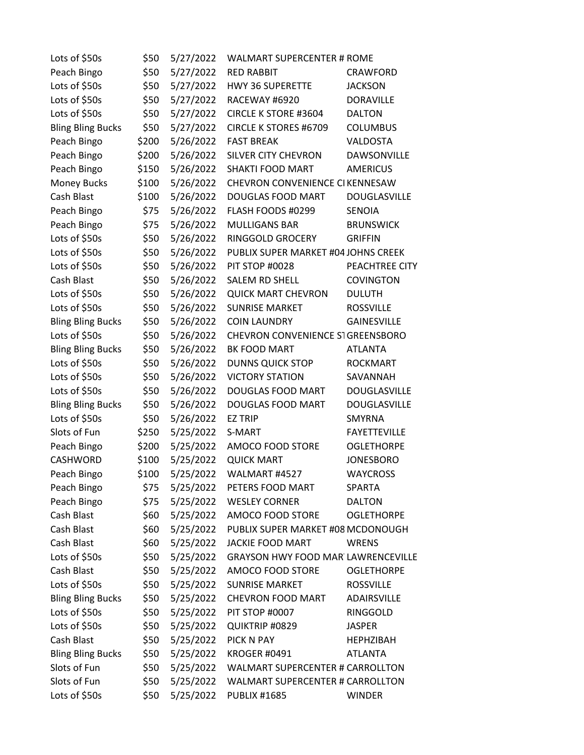| Lots of \$50s            | \$50  | 5/27/2022 | <b>WALMART SUPERCENTER # ROME</b>         |                     |
|--------------------------|-------|-----------|-------------------------------------------|---------------------|
| Peach Bingo              | \$50  | 5/27/2022 | <b>RED RABBIT</b>                         | <b>CRAWFORD</b>     |
| Lots of \$50s            | \$50  | 5/27/2022 | <b>HWY 36 SUPERETTE</b>                   | <b>JACKSON</b>      |
| Lots of \$50s            | \$50  | 5/27/2022 | RACEWAY #6920                             | <b>DORAVILLE</b>    |
| Lots of \$50s            | \$50  | 5/27/2022 | <b>CIRCLE K STORE #3604</b>               | <b>DALTON</b>       |
| <b>Bling Bling Bucks</b> | \$50  | 5/27/2022 | CIRCLE K STORES #6709                     | <b>COLUMBUS</b>     |
| Peach Bingo              | \$200 | 5/26/2022 | <b>FAST BREAK</b>                         | VALDOSTA            |
| Peach Bingo              | \$200 | 5/26/2022 | <b>SILVER CITY CHEVRON</b>                | DAWSONVILLE         |
| Peach Bingo              | \$150 | 5/26/2022 | SHAKTI FOOD MART                          | <b>AMERICUS</b>     |
| <b>Money Bucks</b>       | \$100 | 5/26/2022 | CHEVRON CONVENIENCE CIKENNESAW            |                     |
| Cash Blast               | \$100 | 5/26/2022 | DOUGLAS FOOD MART                         | <b>DOUGLASVILLE</b> |
| Peach Bingo              | \$75  | 5/26/2022 | FLASH FOODS #0299                         | SENOIA              |
| Peach Bingo              | \$75  | 5/26/2022 | <b>MULLIGANS BAR</b>                      | <b>BRUNSWICK</b>    |
| Lots of \$50s            | \$50  | 5/26/2022 | RINGGOLD GROCERY                          | <b>GRIFFIN</b>      |
| Lots of \$50s            | \$50  | 5/26/2022 | PUBLIX SUPER MARKET #04 JOHNS CREEK       |                     |
| Lots of \$50s            | \$50  | 5/26/2022 | PIT STOP #0028                            | PEACHTREE CITY      |
| Cash Blast               | \$50  | 5/26/2022 | SALEM RD SHELL                            | <b>COVINGTON</b>    |
| Lots of \$50s            | \$50  | 5/26/2022 | <b>QUICK MART CHEVRON</b>                 | <b>DULUTH</b>       |
| Lots of \$50s            | \$50  | 5/26/2022 | <b>SUNRISE MARKET</b>                     | <b>ROSSVILLE</b>    |
| <b>Bling Bling Bucks</b> | \$50  | 5/26/2022 | <b>COIN LAUNDRY</b>                       | <b>GAINESVILLE</b>  |
| Lots of \$50s            | \$50  | 5/26/2022 | CHEVRON CONVENIENCE STGREENSBORO          |                     |
| <b>Bling Bling Bucks</b> | \$50  | 5/26/2022 | BK FOOD MART                              | <b>ATLANTA</b>      |
| Lots of \$50s            | \$50  | 5/26/2022 | <b>DUNNS QUICK STOP</b>                   | <b>ROCKMART</b>     |
| Lots of \$50s            | \$50  | 5/26/2022 | <b>VICTORY STATION</b>                    | SAVANNAH            |
| Lots of \$50s            | \$50  | 5/26/2022 | DOUGLAS FOOD MART                         | DOUGLASVILLE        |
| <b>Bling Bling Bucks</b> | \$50  | 5/26/2022 | DOUGLAS FOOD MART                         | DOUGLASVILLE        |
| Lots of \$50s            | \$50  | 5/26/2022 | <b>EZ TRIP</b>                            | SMYRNA              |
| Slots of Fun             | \$250 | 5/25/2022 | S-MART                                    | <b>FAYETTEVILLE</b> |
| Peach Bingo              | \$200 | 5/25/2022 | AMOCO FOOD STORE                          | <b>OGLETHORPE</b>   |
| <b>CASHWORD</b>          | \$100 | 5/25/2022 | <b>QUICK MART</b>                         | <b>JONESBORO</b>    |
| Peach Bingo              | \$100 | 5/25/2022 | WALMART #4527                             | <b>WAYCROSS</b>     |
| Peach Bingo              | \$75  | 5/25/2022 | PETERS FOOD MART                          | SPARTA              |
| Peach Bingo              | \$75  | 5/25/2022 | <b>WESLEY CORNER</b>                      | <b>DALTON</b>       |
| Cash Blast               | \$60  | 5/25/2022 | AMOCO FOOD STORE                          | <b>OGLETHORPE</b>   |
| Cash Blast               | \$60  | 5/25/2022 | PUBLIX SUPER MARKET #08 MCDONOUGH         |                     |
| Cash Blast               | \$60  | 5/25/2022 | <b>JACKIE FOOD MART</b>                   | <b>WRENS</b>        |
| Lots of \$50s            | \$50  | 5/25/2022 | <b>GRAYSON HWY FOOD MAR LAWRENCEVILLE</b> |                     |
| Cash Blast               | \$50  | 5/25/2022 | AMOCO FOOD STORE                          | <b>OGLETHORPE</b>   |
| Lots of \$50s            | \$50  | 5/25/2022 | <b>SUNRISE MARKET</b>                     | <b>ROSSVILLE</b>    |
| <b>Bling Bling Bucks</b> | \$50  | 5/25/2022 | <b>CHEVRON FOOD MART</b>                  | ADAIRSVILLE         |
| Lots of \$50s            | \$50  | 5/25/2022 | PIT STOP #0007                            | RINGGOLD            |
| Lots of \$50s            | \$50  | 5/25/2022 | QUIKTRIP #0829                            | <b>JASPER</b>       |
| Cash Blast               | \$50  | 5/25/2022 | PICK N PAY                                | <b>HEPHZIBAH</b>    |
| <b>Bling Bling Bucks</b> | \$50  | 5/25/2022 | <b>KROGER #0491</b>                       | <b>ATLANTA</b>      |
| Slots of Fun             | \$50  | 5/25/2022 | <b>WALMART SUPERCENTER # CARROLLTON</b>   |                     |
| Slots of Fun             | \$50  | 5/25/2022 | <b>WALMART SUPERCENTER # CARROLLTON</b>   |                     |
| Lots of \$50s            | \$50  | 5/25/2022 | <b>PUBLIX #1685</b>                       | <b>WINDER</b>       |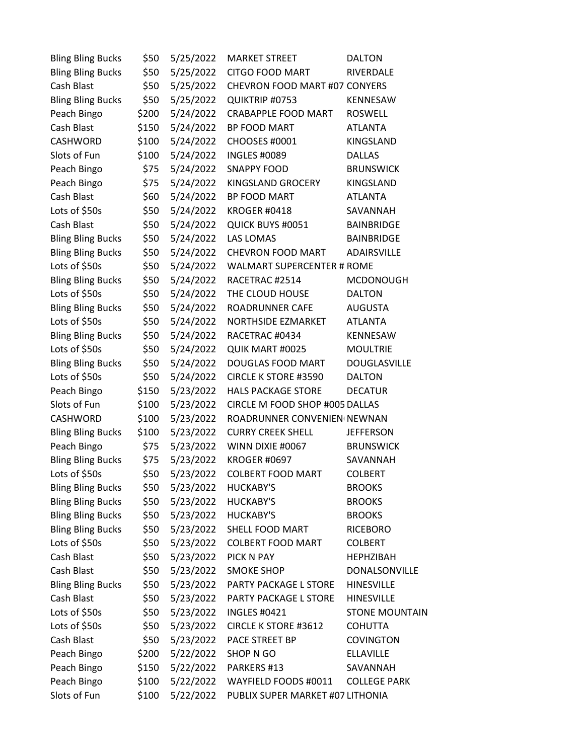| <b>Bling Bling Bucks</b> | \$50  | 5/25/2022 | <b>MARKET STREET</b>              | <b>DALTON</b>         |
|--------------------------|-------|-----------|-----------------------------------|-----------------------|
| <b>Bling Bling Bucks</b> | \$50  | 5/25/2022 | <b>CITGO FOOD MART</b>            | RIVERDALE             |
| Cash Blast               | \$50  | 5/25/2022 | CHEVRON FOOD MART #07 CONYERS     |                       |
| <b>Bling Bling Bucks</b> | \$50  | 5/25/2022 | QUIKTRIP #0753                    | KENNESAW              |
| Peach Bingo              | \$200 | 5/24/2022 | <b>CRABAPPLE FOOD MART</b>        | <b>ROSWELL</b>        |
| Cash Blast               | \$150 | 5/24/2022 | <b>BP FOOD MART</b>               | <b>ATLANTA</b>        |
| CASHWORD                 | \$100 | 5/24/2022 | CHOOSES #0001                     | KINGSLAND             |
| Slots of Fun             | \$100 | 5/24/2022 | <b>INGLES #0089</b>               | <b>DALLAS</b>         |
| Peach Bingo              | \$75  | 5/24/2022 | <b>SNAPPY FOOD</b>                | <b>BRUNSWICK</b>      |
| Peach Bingo              | \$75  | 5/24/2022 | KINGSLAND GROCERY                 | KINGSLAND             |
| Cash Blast               | \$60  | 5/24/2022 | BP FOOD MART                      | <b>ATLANTA</b>        |
| Lots of \$50s            | \$50  | 5/24/2022 | KROGER #0418                      | SAVANNAH              |
| Cash Blast               | \$50  | 5/24/2022 | QUICK BUYS #0051                  | <b>BAINBRIDGE</b>     |
| <b>Bling Bling Bucks</b> | \$50  | 5/24/2022 | <b>LAS LOMAS</b>                  | <b>BAINBRIDGE</b>     |
| <b>Bling Bling Bucks</b> | \$50  | 5/24/2022 | <b>CHEVRON FOOD MART</b>          | ADAIRSVILLE           |
| Lots of \$50s            | \$50  | 5/24/2022 | <b>WALMART SUPERCENTER # ROME</b> |                       |
| <b>Bling Bling Bucks</b> | \$50  | 5/24/2022 | RACETRAC #2514                    | <b>MCDONOUGH</b>      |
| Lots of \$50s            | \$50  | 5/24/2022 | THE CLOUD HOUSE                   | <b>DALTON</b>         |
| <b>Bling Bling Bucks</b> | \$50  | 5/24/2022 | ROADRUNNER CAFE                   | <b>AUGUSTA</b>        |
| Lots of \$50s            | \$50  | 5/24/2022 | NORTHSIDE EZMARKET                | <b>ATLANTA</b>        |
| <b>Bling Bling Bucks</b> | \$50  | 5/24/2022 | RACETRAC #0434                    | KENNESAW              |
| Lots of \$50s            | \$50  | 5/24/2022 | QUIK MART #0025                   | <b>MOULTRIE</b>       |
| <b>Bling Bling Bucks</b> | \$50  | 5/24/2022 | DOUGLAS FOOD MART                 | <b>DOUGLASVILLE</b>   |
| Lots of \$50s            | \$50  | 5/24/2022 | <b>CIRCLE K STORE #3590</b>       | <b>DALTON</b>         |
| Peach Bingo              | \$150 | 5/23/2022 | <b>HALS PACKAGE STORE</b>         | <b>DECATUR</b>        |
| Slots of Fun             | \$100 | 5/23/2022 | CIRCLE M FOOD SHOP #005 DALLAS    |                       |
| CASHWORD                 | \$100 | 5/23/2022 | ROADRUNNER CONVENIEN NEWNAN       |                       |
| <b>Bling Bling Bucks</b> | \$100 | 5/23/2022 | <b>CURRY CREEK SHELL</b>          | <b>JEFFERSON</b>      |
| Peach Bingo              | \$75  | 5/23/2022 | WINN DIXIE #0067                  | <b>BRUNSWICK</b>      |
| <b>Bling Bling Bucks</b> | \$75  | 5/23/2022 | <b>KROGER #0697</b>               | SAVANNAH              |
| Lots of \$50s            | \$50  | 5/23/2022 | <b>COLBERT FOOD MART</b>          | <b>COLBERT</b>        |
| <b>Bling Bling Bucks</b> | \$50  | 5/23/2022 | <b>HUCKABY'S</b>                  | <b>BROOKS</b>         |
| <b>Bling Bling Bucks</b> | \$50  | 5/23/2022 | HUCKABY'S                         | <b>BROOKS</b>         |
| <b>Bling Bling Bucks</b> | \$50  | 5/23/2022 | <b>HUCKABY'S</b>                  | <b>BROOKS</b>         |
| <b>Bling Bling Bucks</b> | \$50  | 5/23/2022 | SHELL FOOD MART                   | <b>RICEBORO</b>       |
| Lots of \$50s            | \$50  | 5/23/2022 | <b>COLBERT FOOD MART</b>          | <b>COLBERT</b>        |
| Cash Blast               | \$50  | 5/23/2022 | PICK N PAY                        | <b>HEPHZIBAH</b>      |
| Cash Blast               | \$50  | 5/23/2022 | <b>SMOKE SHOP</b>                 | DONALSONVILLE         |
| <b>Bling Bling Bucks</b> | \$50  | 5/23/2022 | PARTY PACKAGE L STORE             | <b>HINESVILLE</b>     |
| Cash Blast               | \$50  | 5/23/2022 | PARTY PACKAGE L STORE             | <b>HINESVILLE</b>     |
| Lots of \$50s            | \$50  | 5/23/2022 | <b>INGLES #0421</b>               | <b>STONE MOUNTAIN</b> |
| Lots of \$50s            | \$50  | 5/23/2022 | <b>CIRCLE K STORE #3612</b>       | <b>COHUTTA</b>        |
| Cash Blast               | \$50  | 5/23/2022 | PACE STREET BP                    | <b>COVINGTON</b>      |
| Peach Bingo              | \$200 | 5/22/2022 | SHOP N GO                         | ELLAVILLE             |
| Peach Bingo              | \$150 | 5/22/2022 | PARKERS #13                       | SAVANNAH              |
| Peach Bingo              | \$100 | 5/22/2022 | WAYFIELD FOODS #0011              | <b>COLLEGE PARK</b>   |
| Slots of Fun             | \$100 | 5/22/2022 | PUBLIX SUPER MARKET #07 LITHONIA  |                       |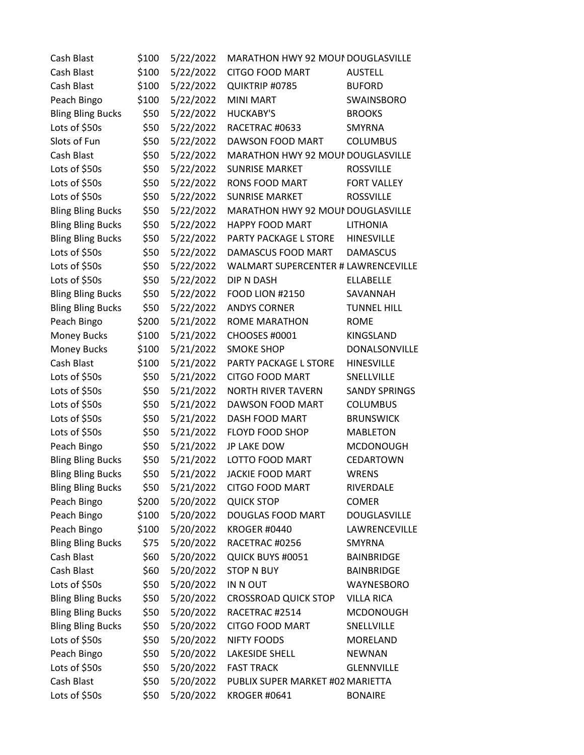| Cash Blast               | \$100 | 5/22/2022 | MARATHON HWY 92 MOUI DOUGLASVILLE   |                      |
|--------------------------|-------|-----------|-------------------------------------|----------------------|
| Cash Blast               | \$100 | 5/22/2022 | <b>CITGO FOOD MART</b>              | <b>AUSTELL</b>       |
| Cash Blast               | \$100 | 5/22/2022 | QUIKTRIP #0785                      | <b>BUFORD</b>        |
| Peach Bingo              | \$100 | 5/22/2022 | <b>MINI MART</b>                    | SWAINSBORO           |
| <b>Bling Bling Bucks</b> | \$50  | 5/22/2022 | <b>HUCKABY'S</b>                    | <b>BROOKS</b>        |
| Lots of \$50s            | \$50  | 5/22/2022 | RACETRAC #0633                      | <b>SMYRNA</b>        |
| Slots of Fun             | \$50  | 5/22/2022 | DAWSON FOOD MART                    | <b>COLUMBUS</b>      |
| Cash Blast               | \$50  | 5/22/2022 | MARATHON HWY 92 MOUI DOUGLASVILLE   |                      |
| Lots of \$50s            | \$50  | 5/22/2022 | <b>SUNRISE MARKET</b>               | <b>ROSSVILLE</b>     |
| Lots of \$50s            | \$50  | 5/22/2022 | <b>RONS FOOD MART</b>               | <b>FORT VALLEY</b>   |
| Lots of \$50s            | \$50  | 5/22/2022 | <b>SUNRISE MARKET</b>               | <b>ROSSVILLE</b>     |
| <b>Bling Bling Bucks</b> | \$50  | 5/22/2022 | MARATHON HWY 92 MOUI DOUGLASVILLE   |                      |
| <b>Bling Bling Bucks</b> | \$50  | 5/22/2022 | HAPPY FOOD MART                     | <b>LITHONIA</b>      |
| <b>Bling Bling Bucks</b> | \$50  | 5/22/2022 | PARTY PACKAGE L STORE               | <b>HINESVILLE</b>    |
| Lots of \$50s            | \$50  | 5/22/2022 | DAMASCUS FOOD MART                  | <b>DAMASCUS</b>      |
| Lots of \$50s            | \$50  | 5/22/2022 | WALMART SUPERCENTER # LAWRENCEVILLE |                      |
| Lots of \$50s            | \$50  | 5/22/2022 | DIP N DASH                          | <b>ELLABELLE</b>     |
| <b>Bling Bling Bucks</b> | \$50  | 5/22/2022 | <b>FOOD LION #2150</b>              | SAVANNAH             |
| <b>Bling Bling Bucks</b> | \$50  | 5/22/2022 | <b>ANDYS CORNER</b>                 | <b>TUNNEL HILL</b>   |
| Peach Bingo              | \$200 | 5/21/2022 | <b>ROME MARATHON</b>                | <b>ROME</b>          |
| Money Bucks              | \$100 | 5/21/2022 | CHOOSES #0001                       | KINGSLAND            |
| <b>Money Bucks</b>       | \$100 | 5/21/2022 | <b>SMOKE SHOP</b>                   | DONALSONVILLE        |
| Cash Blast               | \$100 | 5/21/2022 | PARTY PACKAGE L STORE               | <b>HINESVILLE</b>    |
| Lots of \$50s            | \$50  | 5/21/2022 | <b>CITGO FOOD MART</b>              | SNELLVILLE           |
| Lots of \$50s            | \$50  | 5/21/2022 | <b>NORTH RIVER TAVERN</b>           | <b>SANDY SPRINGS</b> |
| Lots of \$50s            | \$50  | 5/21/2022 | DAWSON FOOD MART                    | <b>COLUMBUS</b>      |
| Lots of \$50s            | \$50  | 5/21/2022 | DASH FOOD MART                      | <b>BRUNSWICK</b>     |
| Lots of \$50s            | \$50  | 5/21/2022 | FLOYD FOOD SHOP                     | <b>MABLETON</b>      |
| Peach Bingo              | \$50  | 5/21/2022 | JP LAKE DOW                         | <b>MCDONOUGH</b>     |
| <b>Bling Bling Bucks</b> | \$50  | 5/21/2022 | LOTTO FOOD MART                     | <b>CEDARTOWN</b>     |
| <b>Bling Bling Bucks</b> | \$50  | 5/21/2022 | <b>JACKIE FOOD MART</b>             | <b>WRENS</b>         |
| <b>Bling Bling Bucks</b> | \$50  | 5/21/2022 | <b>CITGO FOOD MART</b>              | RIVERDALE            |
| Peach Bingo              | \$200 | 5/20/2022 | <b>QUICK STOP</b>                   | <b>COMER</b>         |
| Peach Bingo              | \$100 | 5/20/2022 | DOUGLAS FOOD MART                   | <b>DOUGLASVILLE</b>  |
| Peach Bingo              | \$100 | 5/20/2022 | <b>KROGER #0440</b>                 | LAWRENCEVILLE        |
| <b>Bling Bling Bucks</b> | \$75  | 5/20/2022 | RACETRAC #0256                      | SMYRNA               |
| Cash Blast               | \$60  | 5/20/2022 | QUICK BUYS #0051                    | <b>BAINBRIDGE</b>    |
| Cash Blast               | \$60  | 5/20/2022 | <b>STOP N BUY</b>                   | <b>BAINBRIDGE</b>    |
| Lots of \$50s            | \$50  | 5/20/2022 | IN N OUT                            | WAYNESBORO           |
| <b>Bling Bling Bucks</b> | \$50  | 5/20/2022 | <b>CROSSROAD QUICK STOP</b>         | <b>VILLA RICA</b>    |
| <b>Bling Bling Bucks</b> | \$50  | 5/20/2022 | RACETRAC #2514                      | <b>MCDONOUGH</b>     |
| <b>Bling Bling Bucks</b> | \$50  | 5/20/2022 | <b>CITGO FOOD MART</b>              | SNELLVILLE           |
| Lots of \$50s            | \$50  | 5/20/2022 | <b>NIFTY FOODS</b>                  | MORELAND             |
| Peach Bingo              | \$50  | 5/20/2022 | <b>LAKESIDE SHELL</b>               | <b>NEWNAN</b>        |
| Lots of \$50s            | \$50  | 5/20/2022 | <b>FAST TRACK</b>                   | <b>GLENNVILLE</b>    |
| Cash Blast               | \$50  | 5/20/2022 | PUBLIX SUPER MARKET #02 MARIETTA    |                      |
| Lots of \$50s            | \$50  | 5/20/2022 | <b>KROGER #0641</b>                 | <b>BONAIRE</b>       |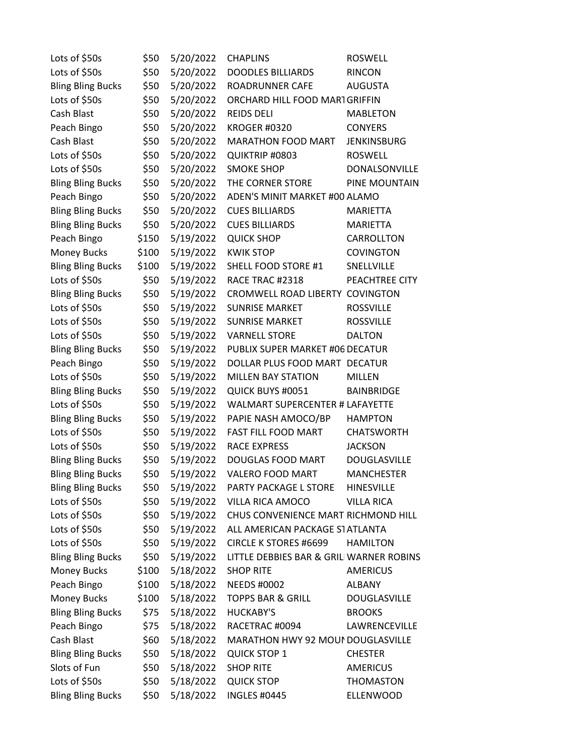| Lots of \$50s            | \$50  | 5/20/2022 | <b>CHAPLINS</b>                         | <b>ROSWELL</b>      |
|--------------------------|-------|-----------|-----------------------------------------|---------------------|
| Lots of \$50s            | \$50  | 5/20/2022 | <b>DOODLES BILLIARDS</b>                | <b>RINCON</b>       |
| <b>Bling Bling Bucks</b> | \$50  | 5/20/2022 | ROADRUNNER CAFE                         | <b>AUGUSTA</b>      |
| Lots of \$50s            | \$50  | 5/20/2022 | ORCHARD HILL FOOD MARTGRIFFIN           |                     |
| Cash Blast               | \$50  | 5/20/2022 | <b>REIDS DELI</b>                       | <b>MABLETON</b>     |
| Peach Bingo              | \$50  | 5/20/2022 | <b>KROGER #0320</b>                     | <b>CONYERS</b>      |
| Cash Blast               | \$50  | 5/20/2022 | MARATHON FOOD MART                      | <b>JENKINSBURG</b>  |
| Lots of \$50s            | \$50  | 5/20/2022 | QUIKTRIP #0803                          | <b>ROSWELL</b>      |
| Lots of \$50s            | \$50  | 5/20/2022 | <b>SMOKE SHOP</b>                       | DONALSONVILLE       |
| <b>Bling Bling Bucks</b> | \$50  | 5/20/2022 | THE CORNER STORE                        | PINE MOUNTAIN       |
| Peach Bingo              | \$50  | 5/20/2022 | ADEN'S MINIT MARKET #00 ALAMO           |                     |
| <b>Bling Bling Bucks</b> | \$50  | 5/20/2022 | <b>CUES BILLIARDS</b>                   | MARIETTA            |
| <b>Bling Bling Bucks</b> | \$50  | 5/20/2022 | <b>CUES BILLIARDS</b>                   | <b>MARIETTA</b>     |
| Peach Bingo              | \$150 | 5/19/2022 | <b>QUICK SHOP</b>                       | CARROLLTON          |
| Money Bucks              | \$100 | 5/19/2022 | <b>KWIK STOP</b>                        | <b>COVINGTON</b>    |
| <b>Bling Bling Bucks</b> | \$100 | 5/19/2022 | SHELL FOOD STORE #1                     | SNELLVILLE          |
| Lots of \$50s            | \$50  | 5/19/2022 | RACE TRAC #2318                         | PEACHTREE CITY      |
| <b>Bling Bling Bucks</b> | \$50  | 5/19/2022 | CROMWELL ROAD LIBERTY COVINGTON         |                     |
| Lots of \$50s            | \$50  | 5/19/2022 | <b>SUNRISE MARKET</b>                   | <b>ROSSVILLE</b>    |
| Lots of \$50s            | \$50  | 5/19/2022 | <b>SUNRISE MARKET</b>                   | <b>ROSSVILLE</b>    |
| Lots of \$50s            | \$50  | 5/19/2022 | <b>VARNELL STORE</b>                    | <b>DALTON</b>       |
| <b>Bling Bling Bucks</b> | \$50  | 5/19/2022 | PUBLIX SUPER MARKET #06 DECATUR         |                     |
| Peach Bingo              | \$50  | 5/19/2022 | DOLLAR PLUS FOOD MART DECATUR           |                     |
| Lots of \$50s            | \$50  | 5/19/2022 | <b>MILLEN BAY STATION</b>               | <b>MILLEN</b>       |
| <b>Bling Bling Bucks</b> | \$50  | 5/19/2022 | QUICK BUYS #0051                        | <b>BAINBRIDGE</b>   |
| Lots of \$50s            | \$50  | 5/19/2022 | WALMART SUPERCENTER # LAFAYETTE         |                     |
| <b>Bling Bling Bucks</b> | \$50  | 5/19/2022 | PAPIE NASH AMOCO/BP                     | <b>HAMPTON</b>      |
| Lots of \$50s            | \$50  | 5/19/2022 | FAST FILL FOOD MART                     | <b>CHATSWORTH</b>   |
| Lots of \$50s            | \$50  | 5/19/2022 | <b>RACE EXPRESS</b>                     | <b>JACKSON</b>      |
| <b>Bling Bling Bucks</b> | \$50  | 5/19/2022 | DOUGLAS FOOD MART                       | <b>DOUGLASVILLE</b> |
| <b>Bling Bling Bucks</b> | \$50  | 5/19/2022 | <b>VALERO FOOD MART</b>                 | <b>MANCHESTER</b>   |
| <b>Bling Bling Bucks</b> | \$50  | 5/19/2022 | PARTY PACKAGE L STORE                   | <b>HINESVILLE</b>   |
| Lots of \$50s            | \$50  | 5/19/2022 | VILLA RICA AMOCO                        | <b>VILLA RICA</b>   |
| Lots of \$50s            | \$50  | 5/19/2022 | CHUS CONVENIENCE MART RICHMOND HILL     |                     |
| Lots of \$50s            | \$50  | 5/19/2022 | ALL AMERICAN PACKAGE STATLANTA          |                     |
| Lots of \$50s            | \$50  | 5/19/2022 | <b>CIRCLE K STORES #6699</b>            | <b>HAMILTON</b>     |
| <b>Bling Bling Bucks</b> | \$50  | 5/19/2022 | LITTLE DEBBIES BAR & GRILIWARNER ROBINS |                     |
| Money Bucks              | \$100 | 5/18/2022 | <b>SHOP RITE</b>                        | <b>AMERICUS</b>     |
| Peach Bingo              | \$100 | 5/18/2022 | <b>NEEDS #0002</b>                      | <b>ALBANY</b>       |
| Money Bucks              | \$100 | 5/18/2022 | <b>TOPPS BAR &amp; GRILL</b>            | <b>DOUGLASVILLE</b> |
| <b>Bling Bling Bucks</b> | \$75  | 5/18/2022 | <b>HUCKABY'S</b>                        | <b>BROOKS</b>       |
| Peach Bingo              | \$75  | 5/18/2022 | RACETRAC #0094                          | LAWRENCEVILLE       |
| Cash Blast               | \$60  | 5/18/2022 | MARATHON HWY 92 MOUI DOUGLASVILLE       |                     |
| <b>Bling Bling Bucks</b> | \$50  | 5/18/2022 | <b>QUICK STOP 1</b>                     | <b>CHESTER</b>      |
| Slots of Fun             | \$50  | 5/18/2022 | <b>SHOP RITE</b>                        | <b>AMERICUS</b>     |
| Lots of \$50s            | \$50  | 5/18/2022 | <b>QUICK STOP</b>                       | <b>THOMASTON</b>    |
| <b>Bling Bling Bucks</b> | \$50  | 5/18/2022 | <b>INGLES #0445</b>                     | ELLENWOOD           |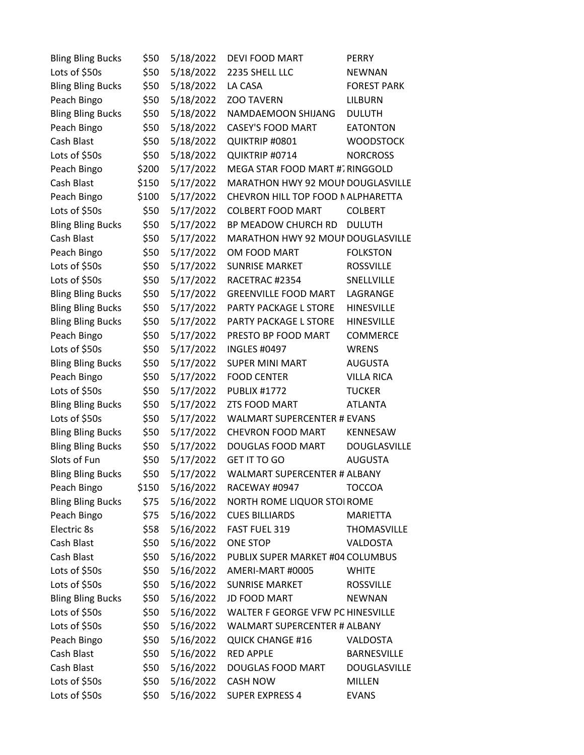| <b>Bling Bling Bucks</b> | \$50  | 5/18/2022 | <b>DEVI FOOD MART</b>               | <b>PERRY</b>        |
|--------------------------|-------|-----------|-------------------------------------|---------------------|
| Lots of \$50s            | \$50  | 5/18/2022 | 2235 SHELL LLC                      | <b>NEWNAN</b>       |
| <b>Bling Bling Bucks</b> | \$50  | 5/18/2022 | LA CASA                             | <b>FOREST PARK</b>  |
| Peach Bingo              | \$50  | 5/18/2022 | <b>ZOO TAVERN</b>                   | <b>LILBURN</b>      |
| <b>Bling Bling Bucks</b> | \$50  | 5/18/2022 | NAMDAEMOON SHIJANG                  | <b>DULUTH</b>       |
| Peach Bingo              | \$50  | 5/18/2022 | <b>CASEY'S FOOD MART</b>            | <b>EATONTON</b>     |
| Cash Blast               | \$50  | 5/18/2022 | QUIKTRIP #0801                      | <b>WOODSTOCK</b>    |
| Lots of \$50s            | \$50  | 5/18/2022 | QUIKTRIP #0714                      | <b>NORCROSS</b>     |
| Peach Bingo              | \$200 | 5/17/2022 | MEGA STAR FOOD MART #7RINGGOLD      |                     |
| Cash Blast               | \$150 | 5/17/2022 | MARATHON HWY 92 MOUI DOUGLASVILLE   |                     |
| Peach Bingo              | \$100 | 5/17/2022 | CHEVRON HILL TOP FOOD NALPHARETTA   |                     |
| Lots of \$50s            | \$50  | 5/17/2022 | <b>COLBERT FOOD MART</b>            | <b>COLBERT</b>      |
| <b>Bling Bling Bucks</b> | \$50  | 5/17/2022 | BP MEADOW CHURCH RD                 | <b>DULUTH</b>       |
| Cash Blast               | \$50  | 5/17/2022 | MARATHON HWY 92 MOUI DOUGLASVILLE   |                     |
| Peach Bingo              | \$50  | 5/17/2022 | OM FOOD MART                        | <b>FOLKSTON</b>     |
| Lots of \$50s            | \$50  | 5/17/2022 | <b>SUNRISE MARKET</b>               | <b>ROSSVILLE</b>    |
| Lots of \$50s            | \$50  | 5/17/2022 | RACETRAC #2354                      | SNELLVILLE          |
| <b>Bling Bling Bucks</b> | \$50  | 5/17/2022 | <b>GREENVILLE FOOD MART</b>         | LAGRANGE            |
| <b>Bling Bling Bucks</b> | \$50  | 5/17/2022 | PARTY PACKAGE L STORE               | <b>HINESVILLE</b>   |
| <b>Bling Bling Bucks</b> | \$50  | 5/17/2022 | PARTY PACKAGE L STORE               | <b>HINESVILLE</b>   |
| Peach Bingo              | \$50  | 5/17/2022 | PRESTO BP FOOD MART                 | <b>COMMERCE</b>     |
| Lots of \$50s            | \$50  | 5/17/2022 | <b>INGLES #0497</b>                 | <b>WRENS</b>        |
| <b>Bling Bling Bucks</b> | \$50  | 5/17/2022 | <b>SUPER MINI MART</b>              | <b>AUGUSTA</b>      |
| Peach Bingo              | \$50  | 5/17/2022 | <b>FOOD CENTER</b>                  | <b>VILLA RICA</b>   |
| Lots of \$50s            | \$50  | 5/17/2022 | <b>PUBLIX #1772</b>                 | <b>TUCKER</b>       |
| <b>Bling Bling Bucks</b> | \$50  | 5/17/2022 | ZTS FOOD MART                       | <b>ATLANTA</b>      |
| Lots of \$50s            | \$50  | 5/17/2022 | <b>WALMART SUPERCENTER # EVANS</b>  |                     |
| <b>Bling Bling Bucks</b> | \$50  | 5/17/2022 | CHEVRON FOOD MART                   | KENNESAW            |
| <b>Bling Bling Bucks</b> | \$50  | 5/17/2022 | DOUGLAS FOOD MART                   | <b>DOUGLASVILLE</b> |
| Slots of Fun             | \$50  | 5/17/2022 | <b>GET IT TO GO</b>                 | <b>AUGUSTA</b>      |
| <b>Bling Bling Bucks</b> | \$50  | 5/17/2022 | <b>WALMART SUPERCENTER # ALBANY</b> |                     |
| Peach Bingo              | \$150 | 5/16/2022 | RACEWAY #0947                       | <b>TOCCOA</b>       |
| <b>Bling Bling Bucks</b> | \$75  | 5/16/2022 | NORTH ROME LIQUOR STOI ROME         |                     |
| Peach Bingo              | \$75  | 5/16/2022 | <b>CUES BILLIARDS</b>               | MARIETTA            |
| Electric 8s              | \$58  | 5/16/2022 | FAST FUEL 319                       | <b>THOMASVILLE</b>  |
| Cash Blast               | \$50  | 5/16/2022 | <b>ONE STOP</b>                     | <b>VALDOSTA</b>     |
| Cash Blast               | \$50  | 5/16/2022 | PUBLIX SUPER MARKET #04 COLUMBUS    |                     |
| Lots of \$50s            | \$50  | 5/16/2022 | AMERI-MART #0005                    | <b>WHITE</b>        |
| Lots of \$50s            | \$50  | 5/16/2022 | <b>SUNRISE MARKET</b>               | <b>ROSSVILLE</b>    |
| <b>Bling Bling Bucks</b> | \$50  | 5/16/2022 | <b>JD FOOD MART</b>                 | <b>NEWNAN</b>       |
| Lots of \$50s            | \$50  | 5/16/2022 | WALTER F GEORGE VFW PC HINESVILLE   |                     |
| Lots of \$50s            | \$50  | 5/16/2022 | <b>WALMART SUPERCENTER # ALBANY</b> |                     |
| Peach Bingo              | \$50  | 5/16/2022 | <b>QUICK CHANGE #16</b>             | VALDOSTA            |
| Cash Blast               | \$50  | 5/16/2022 | <b>RED APPLE</b>                    | <b>BARNESVILLE</b>  |
| Cash Blast               | \$50  | 5/16/2022 | DOUGLAS FOOD MART                   | DOUGLASVILLE        |
| Lots of \$50s            | \$50  | 5/16/2022 | <b>CASH NOW</b>                     | <b>MILLEN</b>       |
| Lots of \$50s            | \$50  | 5/16/2022 | <b>SUPER EXPRESS 4</b>              | <b>EVANS</b>        |